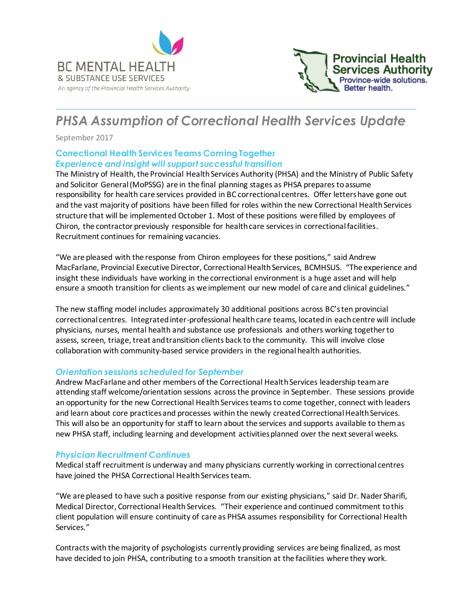



# *PHSA Assumption of Correctional Health Services Update*

September 2017

## **Correctional Health Services Teams Coming Together** *Experience and insight will support successful transition*

The Ministry of Health, the Provincial Health Services Authority (PHSA) and the Ministry of Public Safety and Solicitor General (MoPSSG) are in the final planning stages as PHSA prepares to assume responsibility for health care services provided in BC correctional centres. Offer letters have gone out and the vast majority of positions have been filled for roles within the new Correctional Health Services structure that will be implemented October 1. Most of these positions were filled by employees of Chiron, the contractor previously responsible for health care services in correctional facilities. Recruitment continues for remaining vacancies.

"We are pleased with the response from Chiron employees for these positions," said Andrew MacFarlane, Provincial Executive Director, Correctional Health Services, BCMHSUS. "The experience and insight these individuals have working in the correctional environment is a huge asset and will help ensure a smooth transition for clients as we implement our new model of care and clinical guidelines."

The new staffing model includes approximately 30 additional positions across BC's ten provincial correctional centres. Integrated inter-professional health care teams, located in each centre will include physicians, nurses, mental health and substance use professionals and others working together to assess, screen, triage, treat and transition clients back to the community. This will involve close collaboration with community-based service providers in the regional health authorities.

## *Orientation sessions scheduled for September*

Andrew MacFarlane and other members of the Correctional Health Services leadership team are attending staff welcome/orientation sessions across the province in September. These sessions provide an opportunity for the new Correctional Health Services teams to come together, connect with leaders and learn about core practices and processes within the newly created Correctional Health Services. This will also be an opportunity for staff to learn about the services and supports available to them as new PHSA staff, including learning and development activities planned over the next several weeks.

## *Physician Recruitment Continues*

Medical staff recruitment is underway and many physicians currently working in correctional centres have joined the PHSA Correctional Health Services team.

"We are pleased to have such a positive response from our existing physicians," said Dr. Nader Sharifi, Medical Director, Correctional Health Services. "Their experience and continued commitment to this client population will ensure continuity of care as PHSA assumes responsibility for Correctional Health Services."

Contracts with the majority of psychologists currently providing services are being finalized, as most have decided to join PHSA, contributing to a smooth transition at the facilities where they work.